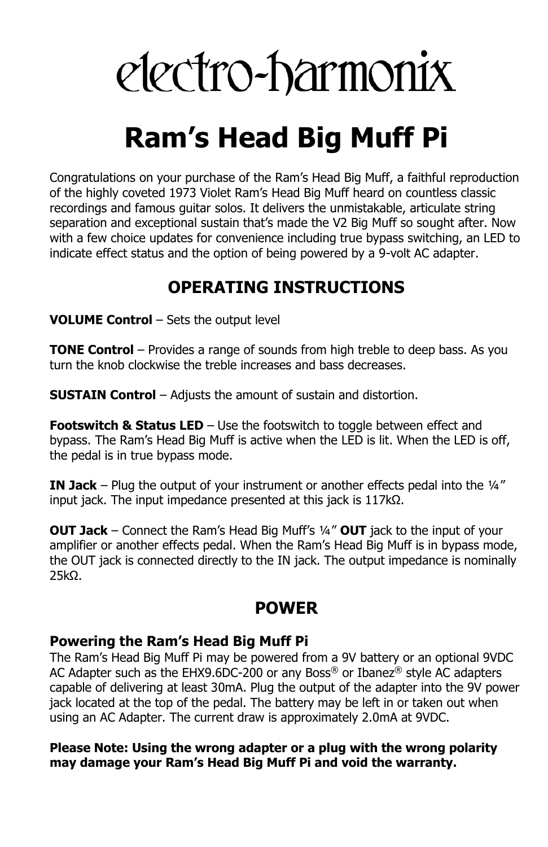# electro-harmonix

## **Ram's Head Big Muff Pi**

Congratulations on your purchase of the Ram's Head Big Muff, a faithful reproduction of the highly coveted 1973 Violet Ram's Head Big Muff heard on countless classic recordings and famous guitar solos. It delivers the unmistakable, articulate string separation and exceptional sustain that's made the V2 Big Muff so sought after. Now with a few choice updates for convenience including true bypass switching, an LED to indicate effect status and the option of being powered by a 9-volt AC adapter.

### **OPERATING INSTRUCTIONS**

**VOLUME Control** – Sets the output level

**TONE Control** – Provides a range of sounds from high treble to deep bass. As you turn the knob clockwise the treble increases and bass decreases.

**SUSTAIN Control** – Adjusts the amount of sustain and distortion.

**Footswitch & Status LED** – Use the footswitch to toggle between effect and bypass. The Ram's Head Big Muff is active when the LED is lit. When the LED is off, the pedal is in true bypass mode.

**IN Jack** – Plug the output of your instrument or another effects pedal into the ¼" input jack. The input impedance presented at this jack is 117kΩ.

**OUT Jack** – Connect the Ram's Head Big Muff's ¼" **OUT** jack to the input of your amplifier or another effects pedal. When the Ram's Head Big Muff is in bypass mode, the OUT jack is connected directly to the IN jack. The output impedance is nominally 25kΩ.

#### **POWER**

#### **Powering the Ram's Head Big Muff Pi**

The Ram's Head Big Muff Pi may be powered from a 9V battery or an optional 9VDC AC Adapter such as the EHX9.6DC-200 or any Boss® or Ibanez® style AC adapters capable of delivering at least 30mA. Plug the output of the adapter into the 9V power jack located at the top of the pedal. The battery may be left in or taken out when using an AC Adapter. The current draw is approximately 2.0mA at 9VDC.

#### **Please Note: Using the wrong adapter or a plug with the wrong polarity may damage your Ram's Head Big Muff Pi and void the warranty.**